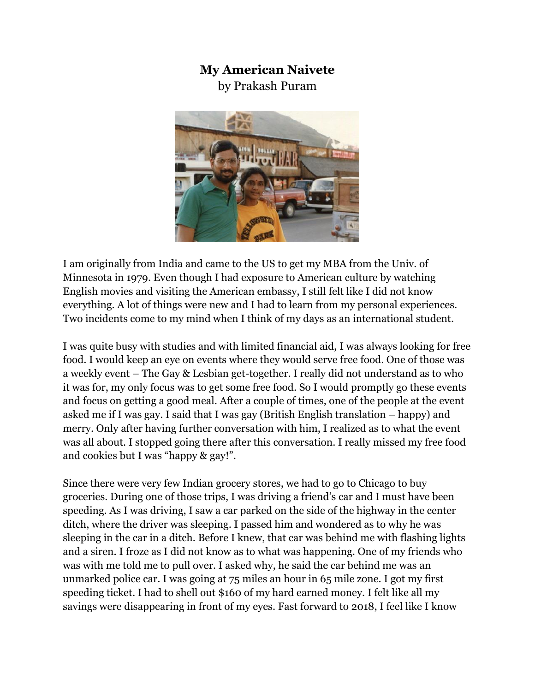## **My American Naivete**

by Prakash Puram



I am originally from India and came to the US to get my MBA from the Univ. of Minnesota in 1979. Even though I had exposure to American culture by watching English movies and visiting the American embassy, I still felt like I did not know everything. A lot of things were new and I had to learn from my personal experiences. Two incidents come to my mind when I think of my days as an international student.

I was quite busy with studies and with limited financial aid, I was always looking for free food. I would keep an eye on events where they would serve free food. One of those was a weekly event – The Gay & Lesbian get-together. I really did not understand as to who it was for, my only focus was to get some free food. So I would promptly go these events and focus on getting a good meal. After a couple of times, one of the people at the event asked me if I was gay. I said that I was gay (British English translation – happy) and merry. Only after having further conversation with him, I realized as to what the event was all about. I stopped going there after this conversation. I really missed my free food and cookies but I was "happy & gay!".

Since there were very few Indian grocery stores, we had to go to Chicago to buy groceries. During one of those trips, I was driving a friend's car and I must have been speeding. As I was driving, I saw a car parked on the side of the highway in the center ditch, where the driver was sleeping. I passed him and wondered as to why he was sleeping in the car in a ditch. Before I knew, that car was behind me with flashing lights and a siren. I froze as I did not know as to what was happening. One of my friends who was with me told me to pull over. I asked why, he said the car behind me was an unmarked police car. I was going at 75 miles an hour in 65 mile zone. I got my first speeding ticket. I had to shell out \$160 of my hard earned money. I felt like all my savings were disappearing in front of my eyes. Fast forward to 2018, I feel like I know